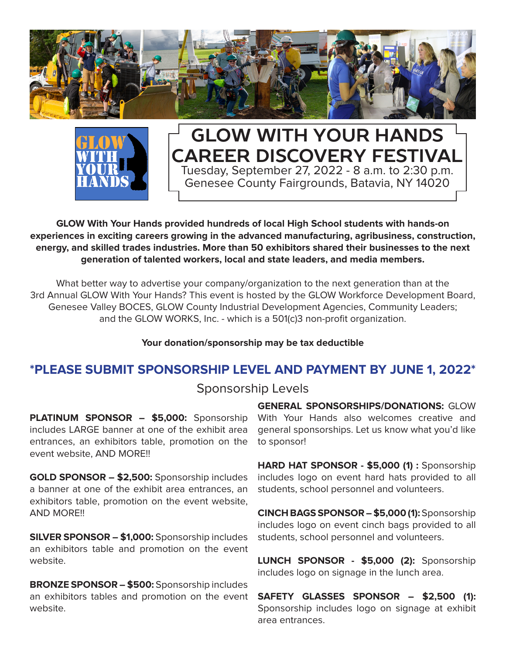



### **GLOW With Your Hands Career Discovery Festival** Tuesday, September 27, 2022 - 8 a.m. to 2:30 p.m. Genesee County Fairgrounds, Batavia, NY 14020

**GLOW With Your Hands provided hundreds of local High School students with hands-on experiences in exciting careers growing in the advanced manufacturing, agribusiness, construction, energy, and skilled trades industries. More than 50 exhibitors shared their businesses to the next generation of talented workers, local and state leaders, and media members.**

What better way to advertise your company/organization to the next generation than at the 3rd Annual GLOW With Your Hands? This event is hosted by the GLOW Workforce Development Board, Genesee Valley BOCES, GLOW County Industrial Development Agencies, Community Leaders; and the GLOW WORKS, Inc. - which is a 501(c)3 non-profit organization.

#### **Your donation/sponsorship may be tax deductible**

#### **\*PLEASE SUBMIT SPONSORSHIP LEVEL AND PAYMENT BY JUNE 1, 2022\***

#### Sponsorship Levels

**PLATINUM SPONSOR – \$5,000:** Sponsorship includes LARGE banner at one of the exhibit area entrances, an exhibitors table, promotion on the event website, AND MORE!!

**GOLD SPONSOR – \$2,500:** Sponsorship includes a banner at one of the exhibit area entrances, an exhibitors table, promotion on the event website, AND MORE!!

**SILVER SPONSOR – \$1,000:** Sponsorship includes an exhibitors table and promotion on the event website.

**BRONZE SPONSOR – \$500:** Sponsorship includes an exhibitors tables and promotion on the event website.

**GENERAL SPONSORSHIPS/DONATIONS:** GLOW With Your Hands also welcomes creative and general sponsorships. Let us know what you'd like to sponsor!

**HARD HAT SPONSOR - \$5,000 (1) :** Sponsorship includes logo on event hard hats provided to all students, school personnel and volunteers.

**CINCH BAGS SPONSOR – \$5,000 (1):** Sponsorship includes logo on event cinch bags provided to all students, school personnel and volunteers.

**LUNCH SPONSOR - \$5,000 (2):** Sponsorship includes logo on signage in the lunch area.

**SAFETY GLASSES SPONSOR – \$2,500 (1):** Sponsorship includes logo on signage at exhibit area entrances.